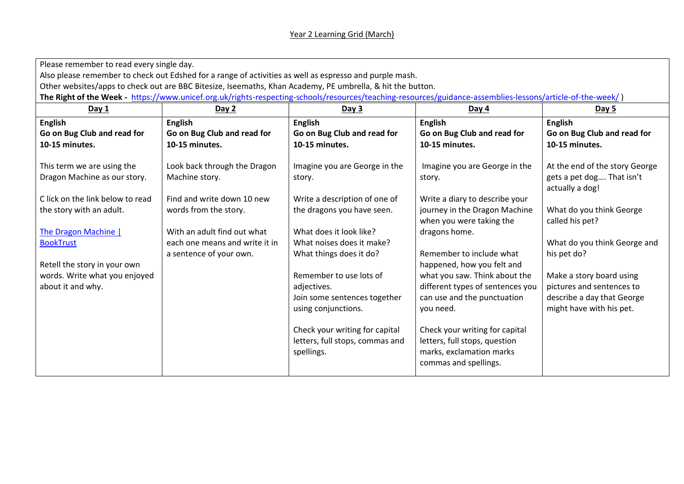## Year 2 Learning Grid (March)

| Please remember to read every single day.                                                                                                                  |                                |                                 |                                  |                                |  |  |  |
|------------------------------------------------------------------------------------------------------------------------------------------------------------|--------------------------------|---------------------------------|----------------------------------|--------------------------------|--|--|--|
| Also please remember to check out Edshed for a range of activities as well as espresso and purple mash.                                                    |                                |                                 |                                  |                                |  |  |  |
| Other websites/apps to check out are BBC Bitesize, Iseemaths, Khan Academy, PE umbrella, & hit the button.                                                 |                                |                                 |                                  |                                |  |  |  |
| The Right of the Week - https://www.unicef.org.uk/rights-respecting-schools/resources/teaching-resources/guidance-assemblies-lessons/article-of-the-week/) |                                |                                 |                                  |                                |  |  |  |
| Day 1                                                                                                                                                      | Day 2                          | Day 3                           | Day $4$                          | <b>Day 5</b>                   |  |  |  |
| <b>English</b>                                                                                                                                             | <b>English</b>                 | <b>English</b>                  | <b>English</b>                   | <b>English</b>                 |  |  |  |
| Go on Bug Club and read for                                                                                                                                | Go on Bug Club and read for    | Go on Bug Club and read for     | Go on Bug Club and read for      | Go on Bug Club and read for    |  |  |  |
| 10-15 minutes.                                                                                                                                             | 10-15 minutes.                 | 10-15 minutes.                  | 10-15 minutes.                   | 10-15 minutes.                 |  |  |  |
|                                                                                                                                                            |                                |                                 |                                  |                                |  |  |  |
| This term we are using the                                                                                                                                 | Look back through the Dragon   | Imagine you are George in the   | Imagine you are George in the    | At the end of the story George |  |  |  |
| Dragon Machine as our story.                                                                                                                               | Machine story.                 | story.                          | story.                           | gets a pet dog That isn't      |  |  |  |
|                                                                                                                                                            |                                |                                 |                                  | actually a dog!                |  |  |  |
| C lick on the link below to read                                                                                                                           | Find and write down 10 new     | Write a description of one of   | Write a diary to describe your   |                                |  |  |  |
| the story with an adult.                                                                                                                                   | words from the story.          | the dragons you have seen.      | journey in the Dragon Machine    | What do you think George       |  |  |  |
|                                                                                                                                                            |                                |                                 | when you were taking the         | called his pet?                |  |  |  |
| <b>The Dragon Machine  </b>                                                                                                                                | With an adult find out what    | What does it look like?         | dragons home.                    |                                |  |  |  |
| <b>BookTrust</b>                                                                                                                                           | each one means and write it in | What noises does it make?       |                                  | What do you think George and   |  |  |  |
|                                                                                                                                                            | a sentence of your own.        | What things does it do?         | Remember to include what         | his pet do?                    |  |  |  |
| Retell the story in your own                                                                                                                               |                                |                                 | happened, how you felt and       |                                |  |  |  |
| words. Write what you enjoyed                                                                                                                              |                                | Remember to use lots of         | what you saw. Think about the    | Make a story board using       |  |  |  |
| about it and why.                                                                                                                                          |                                | adjectives.                     | different types of sentences you | pictures and sentences to      |  |  |  |
|                                                                                                                                                            |                                | Join some sentences together    | can use and the punctuation      | describe a day that George     |  |  |  |
|                                                                                                                                                            |                                | using conjunctions.             | you need.                        | might have with his pet.       |  |  |  |
|                                                                                                                                                            |                                |                                 |                                  |                                |  |  |  |
|                                                                                                                                                            |                                | Check your writing for capital  | Check your writing for capital   |                                |  |  |  |
|                                                                                                                                                            |                                | letters, full stops, commas and | letters, full stops, question    |                                |  |  |  |
|                                                                                                                                                            |                                | spellings.                      | marks, exclamation marks         |                                |  |  |  |
|                                                                                                                                                            |                                |                                 | commas and spellings.            |                                |  |  |  |
|                                                                                                                                                            |                                |                                 |                                  |                                |  |  |  |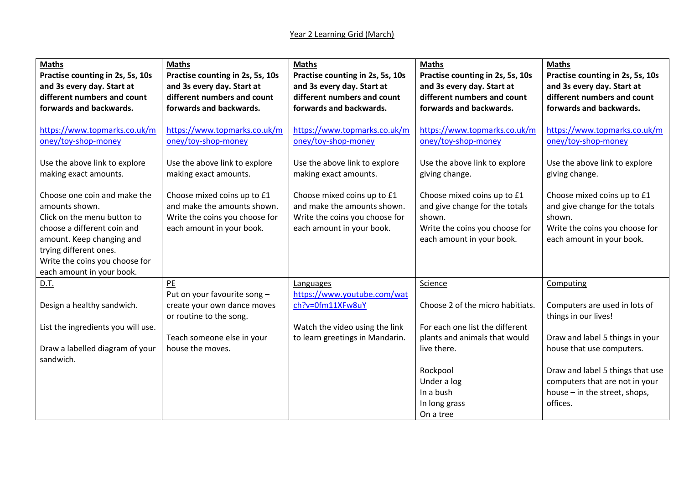| <b>Maths</b><br>Practise counting in 2s, 5s, 10s<br>and 3s every day. Start at<br>different numbers and count | <b>Maths</b><br>Practise counting in 2s, 5s, 10s<br>and 3s every day. Start at<br>different numbers and count | <b>Maths</b><br>Practise counting in 2s, 5s, 10s<br>and 3s every day. Start at<br>different numbers and count | <b>Maths</b><br>Practise counting in 2s, 5s, 10s<br>and 3s every day. Start at<br>different numbers and count | <b>Maths</b><br>Practise counting in 2s, 5s, 10s<br>and 3s every day. Start at<br>different numbers and count |
|---------------------------------------------------------------------------------------------------------------|---------------------------------------------------------------------------------------------------------------|---------------------------------------------------------------------------------------------------------------|---------------------------------------------------------------------------------------------------------------|---------------------------------------------------------------------------------------------------------------|
| forwards and backwards.                                                                                       | forwards and backwards.                                                                                       | forwards and backwards.                                                                                       | forwards and backwards.                                                                                       | forwards and backwards.                                                                                       |
| https://www.topmarks.co.uk/m<br>oney/toy-shop-money                                                           | https://www.topmarks.co.uk/m<br>oney/toy-shop-money                                                           | https://www.topmarks.co.uk/m<br>oney/toy-shop-money                                                           | https://www.topmarks.co.uk/m<br>oney/toy-shop-money                                                           | https://www.topmarks.co.uk/m<br>oney/toy-shop-money                                                           |
| Use the above link to explore<br>making exact amounts.                                                        | Use the above link to explore<br>making exact amounts.                                                        | Use the above link to explore<br>making exact amounts.                                                        | Use the above link to explore<br>giving change.                                                               | Use the above link to explore<br>giving change.                                                               |
| Choose one coin and make the<br>amounts shown.                                                                | Choose mixed coins up to £1<br>and make the amounts shown.                                                    | Choose mixed coins up to £1<br>and make the amounts shown.                                                    | Choose mixed coins up to £1<br>and give change for the totals                                                 | Choose mixed coins up to £1<br>and give change for the totals                                                 |
| Click on the menu button to<br>choose a different coin and                                                    | Write the coins you choose for<br>each amount in your book.                                                   | Write the coins you choose for<br>each amount in your book.                                                   | shown.<br>Write the coins you choose for                                                                      | shown.<br>Write the coins you choose for                                                                      |
| amount. Keep changing and                                                                                     |                                                                                                               |                                                                                                               | each amount in your book.                                                                                     | each amount in your book.                                                                                     |
| trying different ones.<br>Write the coins you choose for                                                      |                                                                                                               |                                                                                                               |                                                                                                               |                                                                                                               |
| each amount in your book.                                                                                     |                                                                                                               |                                                                                                               |                                                                                                               |                                                                                                               |
| D.T.                                                                                                          | PE                                                                                                            | Languages                                                                                                     | Science                                                                                                       | Computing                                                                                                     |
|                                                                                                               | Put on your favourite song -                                                                                  | https://www.youtube.com/wat                                                                                   |                                                                                                               |                                                                                                               |
| Design a healthy sandwich.                                                                                    | create your own dance moves<br>or routine to the song.                                                        | ch?v=0fm11XFw8uY                                                                                              | Choose 2 of the micro habitiats.                                                                              | Computers are used in lots of<br>things in our lives!                                                         |
| List the ingredients you will use.                                                                            |                                                                                                               | Watch the video using the link                                                                                | For each one list the different                                                                               |                                                                                                               |
|                                                                                                               | Teach someone else in your                                                                                    | to learn greetings in Mandarin.                                                                               | plants and animals that would                                                                                 | Draw and label 5 things in your                                                                               |
| Draw a labelled diagram of your                                                                               | house the moves.                                                                                              |                                                                                                               | live there.                                                                                                   | house that use computers.                                                                                     |
| sandwich.                                                                                                     |                                                                                                               |                                                                                                               |                                                                                                               |                                                                                                               |
|                                                                                                               |                                                                                                               |                                                                                                               | Rockpool                                                                                                      | Draw and label 5 things that use                                                                              |
|                                                                                                               |                                                                                                               |                                                                                                               | Under a log<br>In a bush                                                                                      | computers that are not in your                                                                                |
|                                                                                                               |                                                                                                               |                                                                                                               | In long grass                                                                                                 | house - in the street, shops,<br>offices.                                                                     |
|                                                                                                               |                                                                                                               |                                                                                                               | On a tree                                                                                                     |                                                                                                               |